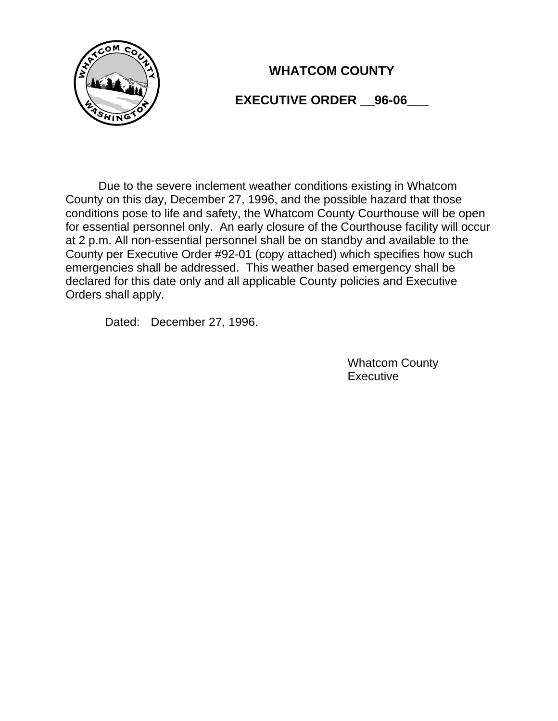

# **WHATCOM COUNTY**

## **EXECUTIVE ORDER \_\_96-06\_\_\_**

Due to the severe inclement weather conditions existing in Whatcom County on this day, December 27, 1996, and the possible hazard that those conditions pose to life and safety, the Whatcom County Courthouse will be open for essential personnel only. An early closure of the Courthouse facility will occur at 2 p.m. All non-essential personnel shall be on standby and available to the County per Executive Order #92-01 (copy attached) which specifies how such emergencies shall be addressed. This weather based emergency shall be declared for this date only and all applicable County policies and Executive Orders shall apply.

Dated: December 27, 1996.

Whatcom County **Executive**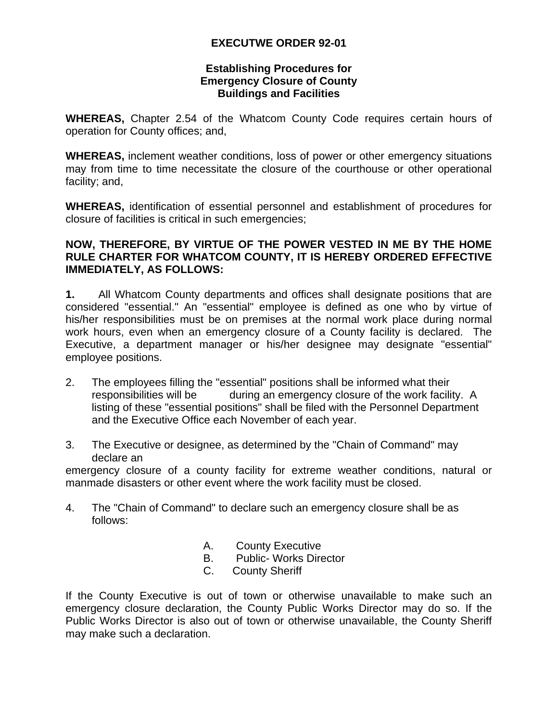### **EXECUTWE ORDER 92-01**

#### **Establishing Procedures for Emergency Closure of County Buildings and Facilities**

**WHEREAS,** Chapter 2.54 of the Whatcom County Code requires certain hours of operation for County offices; and,

**WHEREAS,** inclement weather conditions, loss of power or other emergency situations may from time to time necessitate the closure of the courthouse or other operational facility; and,

**WHEREAS,** identification of essential personnel and establishment of procedures for closure of facilities is critical in such emergencies;

#### **NOW, THEREFORE, BY VIRTUE OF THE POWER VESTED IN ME BY THE HOME RULE CHARTER FOR WHATCOM COUNTY, IT IS HEREBY ORDERED EFFECTIVE IMMEDIATELY, AS FOLLOWS:**

**1.** All Whatcom County departments and offices shall designate positions that are considered "essential." An "essential" employee is defined as one who by virtue of his/her responsibilities must be on premises at the normal work place during normal work hours, even when an emergency closure of a County facility is declared. The Executive, a department manager or his/her designee may designate "essential" employee positions.

- 2. The employees filling the "essential" positions shall be informed what their responsibilities will be during an emergency closure of the work facility. A listing of these "essential positions" shall be filed with the Personnel Department and the Executive Office each November of each year.
- 3. The Executive or designee, as determined by the "Chain of Command" may declare an

emergency closure of a county facility for extreme weather conditions, natural or manmade disasters or other event where the work facility must be closed.

- 4. The "Chain of Command" to declare such an emergency closure shall be as follows:
	- A. County Executive
	- B. Public- Works Director
	- C. County Sheriff

If the County Executive is out of town or otherwise unavailable to make such an emergency closure declaration, the County Public Works Director may do so. If the Public Works Director is also out of town or otherwise unavailable, the County Sheriff may make such a declaration.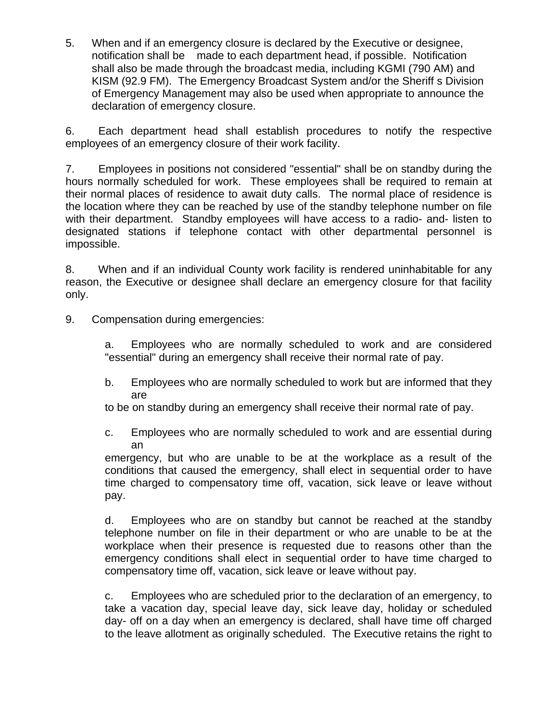5. When and if an emergency closure is declared by the Executive or designee, notification shall be made to each department head, if possible. Notification shall also be made through the broadcast media, including KGMI (790 AM) and KISM (92.9 FM). The Emergency Broadcast System and/or the Sheriff s Division of Emergency Management may also be used when appropriate to announce the declaration of emergency closure.

6. Each department head shall establish procedures to notify the respective employees of an emergency closure of their work facility.

7. Employees in positions not considered "essential" shall be on standby during the hours normally scheduled for work. These employees shall be required to remain at their normal places of residence to await duty calls. The normal place of residence is the location where they can be reached by use of the standby telephone number on file with their department. Standby employees will have access to a radio- and- listen to designated stations if telephone contact with other departmental personnel is impossible.

8. When and if an individual County work facility is rendered uninhabitable for any reason, the Executive or designee shall declare an emergency closure for that facility only.

9. Compensation during emergencies:

a. Employees who are normally scheduled to work and are considered "essential" during an emergency shall receive their normal rate of pay.

b. Employees who are normally scheduled to work but are informed that they are

to be on standby during an emergency shall receive their normal rate of pay.

c. Employees who are normally scheduled to work and are essential during an

emergency, but who are unable to be at the workplace as a result of the conditions that caused the emergency, shall elect in sequential order to have time charged to compensatory time off, vacation, sick leave or leave without pay.

d. Employees who are on standby but cannot be reached at the standby telephone number on file in their department or who are unable to be at the workplace when their presence is requested due to reasons other than the emergency conditions shall elect in sequential order to have time charged to compensatory time off, vacation, sick leave or leave without pay.

c. Employees who are scheduled prior to the declaration of an emergency, to take a vacation day, special leave day, sick leave day, holiday or scheduled day- off on a day when an emergency is declared, shall have time off charged to the leave allotment as originally scheduled. The Executive retains the right to